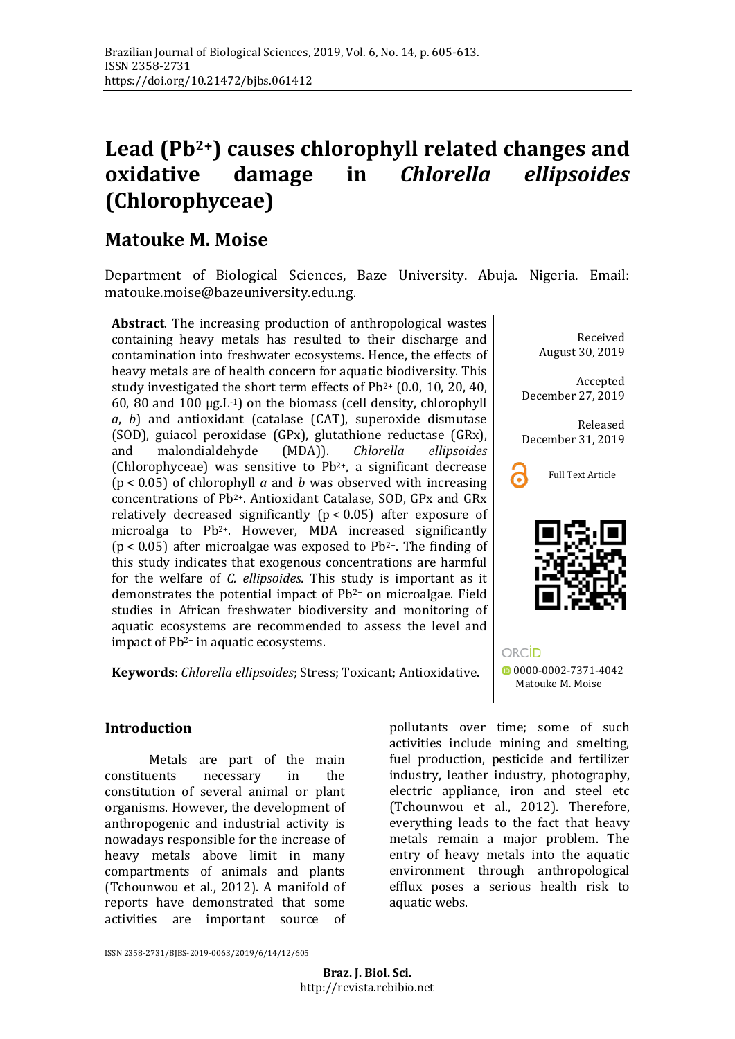# **Lead (Pb2+) causes chlorophyll related changes and oxidative damage in** *Chlorella ellipsoides* **(Chlorophyceae)**

## **Matouke M. Moise**

Department of Biological Sciences, Baze University. Abuja. Nigeria. Email: [matouke.moise@bazeuniversity.edu.ng.](mailto:matouke.moise@bazeuniversity.edu.ng)

**Abstract**. The increasing production of anthropological wastes containing heavy metals has resulted to their discharge and contamination into freshwater ecosystems. Hence, the effects of heavy metals are of health concern for aquatic biodiversity. This study investigated the short term effects of Pb2+ (0.0, 10, 20, 40, 60, 80 and 100  $\mu$ g.L<sup>-1</sup>) on the biomass (cell density, chlorophyll *a*, *b*) and antioxidant (catalase (CAT), superoxide dismutase (SOD), guiacol peroxidase (GPx), glutathione reductase (GRx), and malondialdehyde (MDA)). *Chlorella ellipsoides* malondialdehyde (Chlorophyceae) was sensitive to  $Pb^{2+}$ , a significant decrease (p < 0.05) of chlorophyll *a* and *b* was observed with increasing concentrations of Pb2+. Antioxidant Catalase, SOD, GPx and GRx relatively decreased significantly  $(p < 0.05)$  after exposure of microalga to Pb2+. However, MDA increased significantly ( $p$  < 0.05) after microalgae was exposed to Pb<sup>2+</sup>. The finding of this study indicates that exogenous concentrations are harmful for the welfare of *C. ellipsoides.* This study is important as it demonstrates the potential impact of Pb2+ on microalgae. Field studies in African freshwater biodiversity and monitoring of aquatic ecosystems are recommended to assess the level and impact of Pb2+ in aquatic ecosystems.

**Keywords**: *Chlorella ellipsoides*; Stress; Toxicant; Antioxidative.

### **Introduction**

Metals are part of the main<br>constituents necessary in the constituents necessary in the constitution of several animal or plant organisms. However, the development of anthropogenic and industrial activity is nowadays responsible for the increase of heavy metals above limit in many compartments of animals and plants (Tchounwou et al., 2012). A manifold of reports have demonstrated that some activities are important source of

pollutants over time; some of such activities include mining and smelting, fuel production, pesticide and fertilizer industry, leather industry, photography, electric appliance, iron and steel etc (Tchounwou et al., 2012). Therefore, everything leads to the fact that heavy metals remain a major problem. The entry of heavy metals into the aquatic environment through anthropological efflux poses a serious health risk to aquatic webs.

ORCID

Received August 30, 2019

Accepted December 27, 2019

Released December 31, 2019





[0000-0002-7371-4042](https://orcid.org/0000-0002-7371-4042) Matouke M. Moise

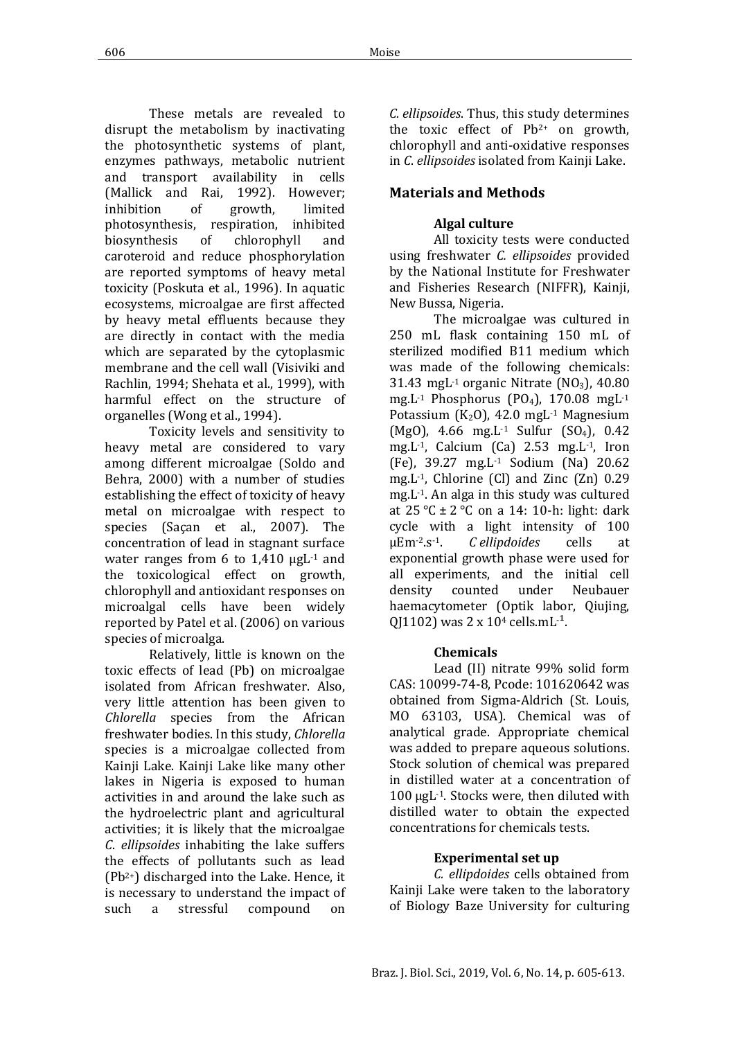These metals are revealed to disrupt the metabolism by inactivating the photosynthetic systems of plant, enzymes pathways, metabolic nutrient and transport availability in cells (Mallick and Rai, 1992). However;<br>inhibition of growth, limited inhibition of growth, limited photosynthesis, respiration, inhibited biosynthesis of chlorophyll and caroteroid and reduce phosphorylation are reported symptoms of heavy metal toxicity (Poskuta et al., 1996). In aquatic ecosystems, microalgae are first affected by heavy metal effluents because they are directly in contact with the media which are separated by the cytoplasmic membrane and the cell wall (Visiviki and Rachlin, 1994; Shehata et al., 1999), with harmful effect on the structure of organelles (Wong et al., 1994).

Toxicity levels and sensitivity to heavy metal are considered to vary among different microalgae (Soldo and Behra, 2000) with a number of studies establishing the effect of toxicity of heavy metal on microalgae with respect to species (Saçan et al., 2007). The concentration of lead in stagnant surface water ranges from 6 to  $1,410 \mu gL^{-1}$  and the toxicological effect on growth, chlorophyll and antioxidant responses on microalgal cells have been widely reported by Patel et al. (2006) on various species of microalga.

Relatively, little is known on the toxic effects of lead (Pb) on microalgae isolated from African freshwater. Also, very little attention has been given to *Chlorella* species from the African freshwater bodies. In this study, *Chlorella* species is a microalgae collected from Kainji Lake. Kainji Lake like many other lakes in Nigeria is exposed to human activities in and around the lake such as the hydroelectric plant and agricultural activities; it is likely that the microalgae *C*. *ellipsoides* inhabiting the lake suffers the effects of pollutants such as lead (Pb2+) discharged into the Lake. Hence, it is necessary to understand the impact of<br>such a stressful compound on a stressful

*C. ellipsoides*. Thus, this study determines the toxic effect of Pb2+ on growth, chlorophyll and anti-oxidative responses in *C*. *ellipsoides* isolated from Kainji Lake.

## **Materials and Methods**

## **Algal culture**

All toxicity tests were conducted using freshwater *C. ellipsoides* provided by the National Institute for Freshwater and Fisheries Research (NIFFR), Kainji, New Bussa, Nigeria.

The microalgae was cultured in 250 mL flask containing 150 mL of sterilized modified B11 medium which was made of the following chemicals: 31.43 mgL $-1$  organic Nitrate (NO<sub>3</sub>), 40.80 mg.L $-1$  Phosphorus (PO<sub>4</sub>), 170.08 mgL $-1$ Potassium ( $K_2O$ ), 42.0 mgL<sup>-1</sup> Magnesium (MgO), 4.66 mg.L<sup>-1</sup> Sulfur (SO<sub>4</sub>), 0.42 mg.L-1, Calcium (Ca) 2.53 mg.L-1, Iron (Fe), 39.27 mg.L-1 Sodium (Na) 20.62 mg.L-1, Chlorine (Cl) and Zinc (Zn) 0.29 mg.L-1. An alga in this study was cultured at  $25 \text{ °C} \pm 2 \text{ °C}$  on a 14: 10-h: light: dark cycle with a light intensity of 100  $\mu$ Em<sup>-2</sup>.s<sup>-1</sup>. *Cellipdoides* cells at *C ellipdoides* cells at exponential growth phase were used for all experiments, and the initial cell<br>density counted under Neubauer Neubauer haemacytometer (Optik labor, Qiujing, QJ1102) was  $2 \times 10^4$  cells.mL<sup> $-1$ </sup>.

## **Chemicals**

Lead (II) nitrate 99% solid form CAS: 10099-74-8, Pcode: 101620642 was obtained from Sigma-Aldrich (St. Louis, MO 63103, USA). Chemical was of analytical grade. Appropriate chemical was added to prepare aqueous solutions. Stock solution of chemical was prepared in distilled water at a concentration of 100 µgL-1. Stocks were, then diluted with distilled water to obtain the expected concentrations for chemicals tests.

## **Experimental set up**

*C. ellipdoides* cells obtained from Kainji Lake were taken to the laboratory of Biology Baze University for culturing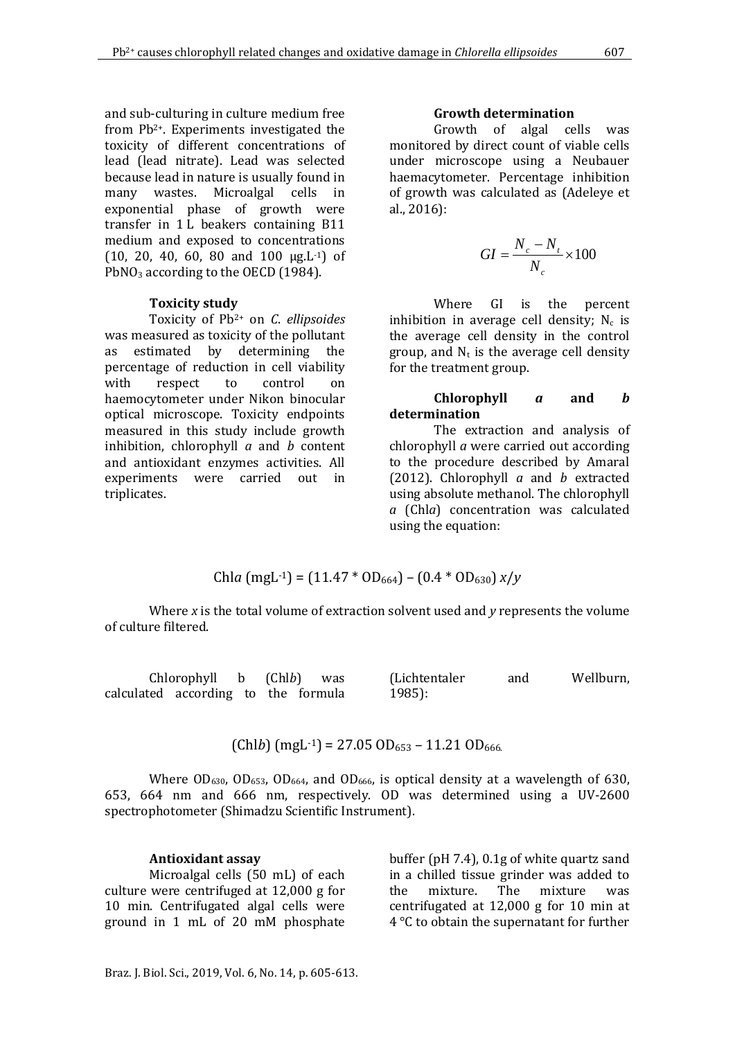and sub-culturing in culture medium free from Pb2+. Experiments investigated the toxicity of different concentrations of lead (lead nitrate). Lead was selected because lead in nature is usually found in many wastes. Microalgal cells in exponential phase of growth were transfer in 1 L beakers containing B11 medium and exposed to concentrations  $(10, 20, 40, 60, 80, and 100, \mu g.L^{-1})$  of PbNO<sub>3</sub> according to the OECD (1984).

#### **Toxicity study**

Toxicity of Pb2+ on *C*. *ellipsoides* was measured as toxicity of the pollutant as estimated by determining the percentage of reduction in cell viability<br>with respect to control on with respect to control on haemocytometer under Nikon binocular optical microscope. Toxicity endpoints measured in this study include growth inhibition, chlorophyll *a* and *b* content and antioxidant enzymes activities. All experiments were carried out in triplicates.

#### **Growth determination**

Growth of algal cells was monitored by direct count of viable cells under microscope using a Neubauer haemacytometer. Percentage inhibition of growth was calculated as (Adeleye et al., 2016):

$$
GI = \frac{N_c - N_t}{N_c} \times 100
$$

Where GI is the percent inhibition in average cell density;  $N_c$  is the average cell density in the control group, and  $N_t$  is the average cell density for the treatment group.

#### **Chlorophyll** *a* **and** *b* **determination**

The extraction and analysis of chlorophyll *a* were carried out according to the procedure described by Amaral (2012). Chlorophyll *a* and *b* extracted using absolute methanol. The chlorophyll *a* (Chl*a*) concentration was calculated using the equation:

Chla (mgl<sup>-1</sup>) = (11.47 \* OD<sub>664</sub>) – (0.4 \* OD<sub>630</sub>) 
$$
x/y
$$

Where *x* is the total volume of extraction solvent used and *y* represents the volume of culture filtered.

|                                     | $Chlorophyll$ b $(Chlb)$ was |  | (Lichtentaler | and | Wellburn, |
|-------------------------------------|------------------------------|--|---------------|-----|-----------|
| calculated according to the formula |                              |  | $1985$ :      |     |           |

 $(Chlb)$  (mgL<sup>-1</sup>) = 27.05 OD<sub>653</sub> – 11.21 OD<sub>666</sub>.

Where  $OD_{630}$ ,  $OD_{653}$ ,  $OD_{664}$ , and  $OD_{666}$ , is optical density at a wavelength of 630, 653, 664 nm and 666 nm, respectively. OD was determined using a UV-2600 spectrophotometer (Shimadzu Scientific Instrument).

#### **Antioxidant assay**

Microalgal cells (50 mL) of each culture were centrifuged at 12,000 g for 10 min. Centrifugated algal cells were ground in 1 mL of 20 mM phosphate buffer (pH 7.4), 0.1g of white quartz sand in a chilled tissue grinder was added to<br>the mixture. The mixture was the mixture. The mixture was centrifugated at 12,000 g for 10 min at 4 °C to obtain the supernatant for further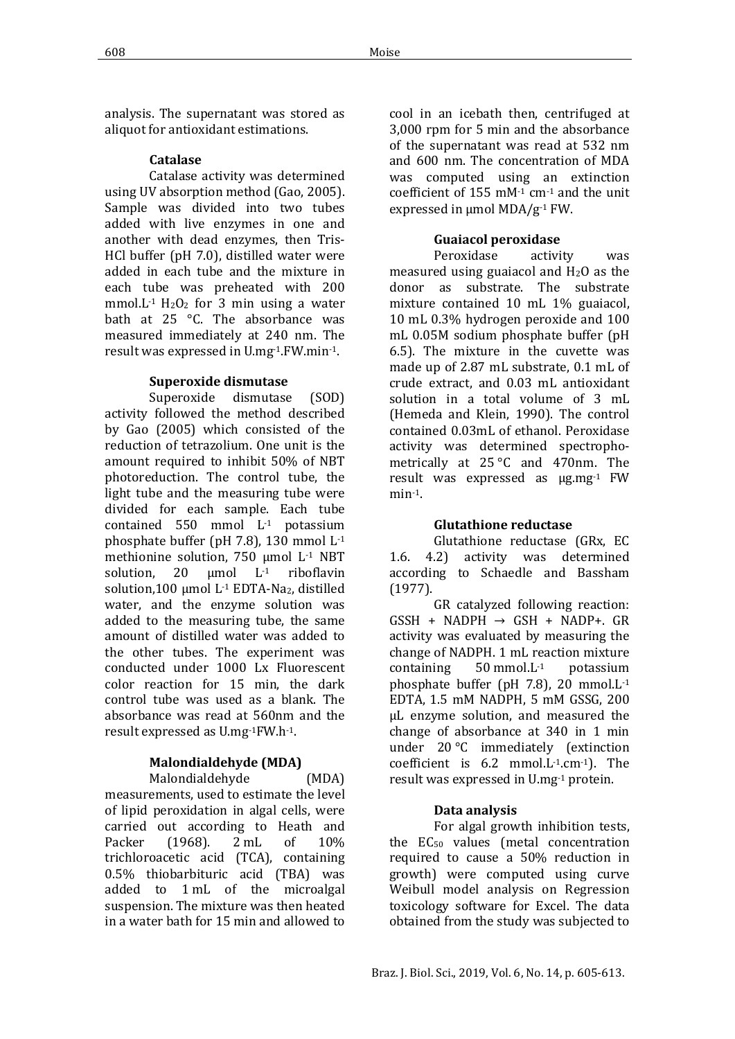analysis. The supernatant was stored as aliquot for antioxidant estimations.

#### **Catalase**

Catalase activity was determined using UV absorption method (Gao, 2005). Sample was divided into two tubes added with live enzymes in one and another with dead enzymes, then Tris-HCl buffer (pH 7.0), distilled water were added in each tube and the mixture in each tube was preheated with 200 mmol.L<sup>-1</sup>  $H_2O_2$  for 3 min using a water bath at 25 °C. The absorbance was measured immediately at 240 nm. The result was expressed in U.mg-1.FW.min-1.

#### **Superoxide dismutase**

Superoxide dismutase (SOD) activity followed the method described by Gao (2005) which consisted of the reduction of tetrazolium. One unit is the amount required to inhibit 50% of NBT photoreduction. The control tube, the light tube and the measuring tube were divided for each sample. Each tube contained 550 mmol L-1 potassium phosphate buffer (pH 7.8), 130 mmol L-1 methionine solution, 750 μmol  $L^1$  NBT<br>solution, 20 μmol  $L^1$  riboflavin  $\mu$ mol L<sup>-1</sup> riboflavin solution,100 μmol L-1 EDTA-Na2, distilled water, and the enzyme solution was added to the measuring tube, the same amount of distilled water was added to the other tubes. The experiment was conducted under 1000 Lx Fluorescent color reaction for 15 min, the dark control tube was used as a blank. The absorbance was read at 560nm and the result expressed as U.mg-1FW.h-1.

#### **Malondialdehyde (MDA)**

Malondialdehyde (MDA) measurements, used to estimate the level of lipid peroxidation in algal cells, were carried out according to Heath and<br>Packer (1968). 2 mL of 10% Packer (1968). 2 mL of 10% trichloroacetic acid (TCA), containing 0.5% thiobarbituric acid (TBA) was added to 1 mL of the microalgal suspension. The mixture was then heated in a water bath for 15 min and allowed to

cool in an icebath then, centrifuged at 3,000 rpm for 5 min and the absorbance of the supernatant was read at 532 nm and 600 nm. The concentration of MDA was computed using an extinction coefficient of 155 mM-1 cm-1 and the unit expressed in µmol MDA/g-1 FW.

#### **Guaiacol peroxidase**

Peroxidase activity was measured using guaiacol and  $H_2O$  as the donor as substrate. The substrate mixture contained 10 mL 1% guaiacol, 10 mL 0.3% hydrogen peroxide and 100 mL 0.05M sodium phosphate buffer (pH 6.5). The mixture in the cuvette was made up of 2.87 mL substrate, 0.1 mL of crude extract, and 0.03 mL antioxidant solution in a total volume of 3 mL (Hemeda and Klein, 1990). The control contained 0.03mL of ethanol. Peroxidase activity was determined spectrophometrically at 25 °C and 470nm. The result was expressed as µg.mg-1 FW min-1.

#### **Glutathione reductase**

Glutathione reductase (GRx, EC 1.6. 4.2) activity was determined according to Schaedle and Bassham (1977).

GR catalyzed following reaction:  $GSSH$  + NADPH  $\rightarrow$  GSH + NADP+. GR activity was evaluated by measuring the change of NADPH. 1 mL reaction mixture<br>containing  $50$  mmol. L<sup>-1</sup> potassium containing 50 mmol.L-1 potassium phosphate buffer (pH 7.8), 20 mmol.L-1 EDTA, 1.5 mM NADPH, 5 mM GSSG, 200 μL enzyme solution, and measured the change of absorbance at 340 in 1 min under 20 °C immediately (extinction coefficient is 6.2 mmol.L-1.cm-1). The result was expressed in U.mg-1 protein.

#### **Data analysis**

For algal growth inhibition tests, the EC<sub>50</sub> values (metal concentration required to cause a 50% reduction in growth) were computed using curve Weibull model analysis on Regression toxicology software for Excel. The data obtained from the study was subjected to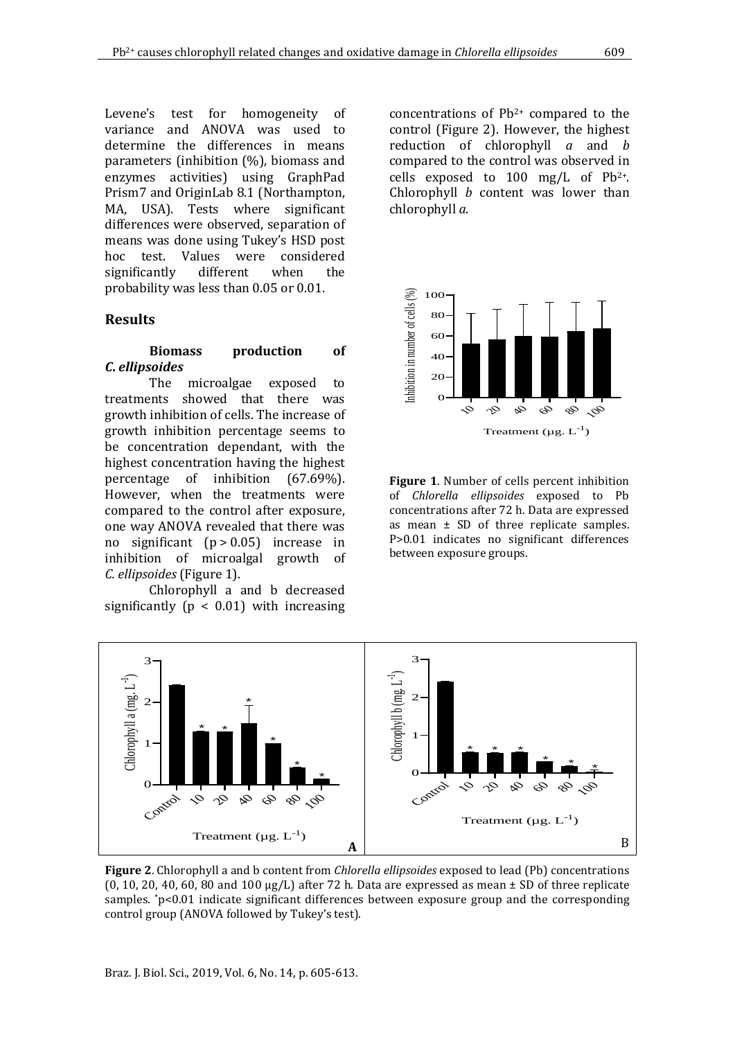Levene's test for homogeneity of variance and ANOVA was used to determine the differences in means parameters (inhibition (%), biomass and enzymes activities) using GraphPad Prism7 and OriginLab 8.1 (Northampton, MA, USA). Tests where significant differences were observed, separation of means was done using Tukey's HSD post hoc test. Values were considered<br>significantly different when the significantly probability was less than 0.05 or 0.01.

#### **Results**

#### **Biomass production of**  *C***.** *ellipsoides*

The microalgae exposed to treatments showed that there was growth inhibition of cells. The increase of growth inhibition percentage seems to be concentration dependant, with the highest concentration having the highest percentage of inhibition (67.69%). However, when the treatments were compared to the control after exposure, one way ANOVA revealed that there was no significant (p > 0.05) increase in inhibition of microalgal growth of *C. ellipsoides* (Figure 1).

Chlorophyll a and b decreased significantly ( $p < 0.01$ ) with increasing

concentrations of Pb2+ compared to the control (Figure 2). However, the highest reduction of chlorophyll *a* and *b* compared to the control was observed in cells exposed to 100 mg/L of  $Pb^{2+}$ . Chlorophyll *b* content was lower than chlorophyll *a*.



**Figure 1**. Number of cells percent inhibition of *Chlorella ellipsoides* exposed to Pb concentrations after 72 h. Data are expressed as mean ± SD of three replicate samples. P>0.01 indicates no significant differences between exposure groups.



**Figure 2**. Chlorophyll a and b content from *Chlorella ellipsoides* exposed to lead (Pb) concentrations  $(0, 10, 20, 40, 60, 80, 80, 100 \mu g/L)$  after 72 h. Data are expressed as mean  $\pm$  SD of three replicate samples.  $p<0.01$  indicate significant differences between exposure group and the corresponding control group (ANOVA followed by Tukey's test).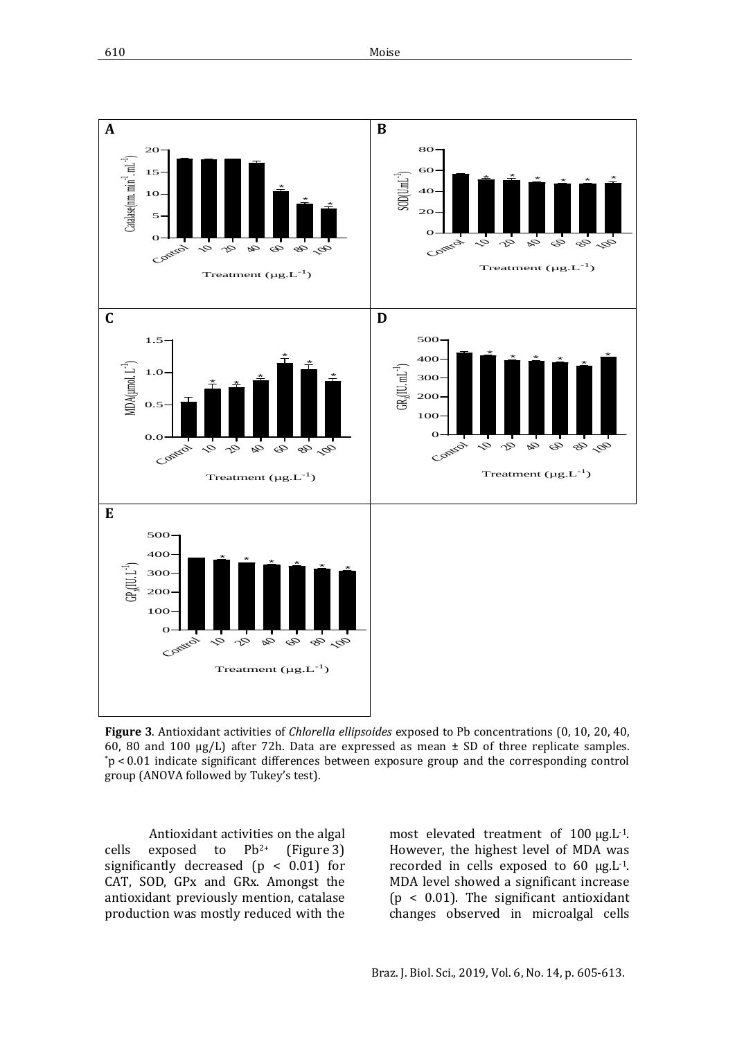

**Figure 3**. Antioxidant activities of *Chlorella ellipsoides* exposed to Pb concentrations (0, 10, 20, 40, 60, 80 and 100  $\mu$ g/L) after 72h. Data are expressed as mean  $\pm$  SD of three replicate samples. \*p < 0.01 indicate significant differences between exposure group and the corresponding control group (ANOVA followed by Tukey's test).

Antioxidant activities on the algal<br>exposed to  $Pb^{2+}$  (Figure 3) cells exposed to  $Pb^{2+}$  (Figure 3) significantly decreased  $(p < 0.01)$  for CAT, SOD, GPx and GRx. Amongst the antioxidant previously mention, catalase production was mostly reduced with the

most elevated treatment of 100 µg.L<sup>-1</sup>. However, the highest level of MDA was recorded in cells exposed to 60  $\mu$ g.L<sup>-1</sup>. MDA level showed a significant increase (p < 0.01). The significant antioxidant changes observed in microalgal cells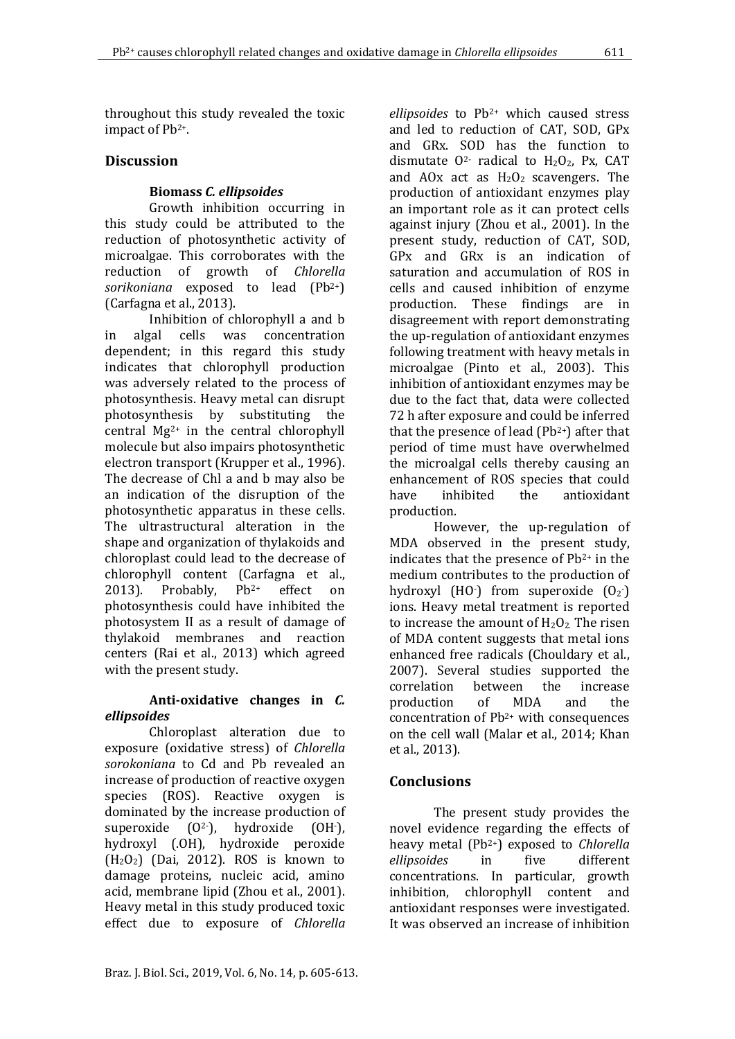throughout this study revealed the toxic impact of Pb2+.

## **Discussion**

## **Biomass** *C. ellipsoides*

Growth inhibition occurring in this study could be attributed to the reduction of photosynthetic activity of microalgae. This corroborates with the reduction of growth of *Chlorella sorikoniana* exposed to lead (Pb2+) (Carfagna et al., 2013).

Inhibition of chlorophyll a and b<br>algal cells was concentration in algal cells was concentration dependent; in this regard this study indicates that chlorophyll production was adversely related to the process of photosynthesis. Heavy metal can disrupt photosynthesis by substituting the central Mg2+ in the central chlorophyll molecule but also impairs photosynthetic electron transport (Krupper et al., 1996). The decrease of Chl a and b may also be an indication of the disruption of the photosynthetic apparatus in these cells. The ultrastructural alteration in the shape and organization of thylakoids and chloroplast could lead to the decrease of chlorophyll content (Carfagna et al., 2013). Probably,  $Pb^{2+}$  effect on 2013). Probably, Pb2+ effect on photosynthesis could have inhibited the photosystem II as a result of damage of thylakoid membranes and reaction centers (Rai et al., 2013) which agreed with the present study.

## **Anti-oxidative changes in** *C. ellipsoides*

Chloroplast alteration due to exposure (oxidative stress) of *Chlorella sorokoniana* to Cd and Pb revealed an increase of production of reactive oxygen species (ROS). Reactive oxygen is dominated by the increase production of superoxide (O<sup>2-</sup>), hydroxide (OH<sup>-</sup>  $(OH<sub>1</sub>)$ hydroxyl (.OH), hydroxide peroxide  $(H<sub>2</sub>O<sub>2</sub>)$  (Dai, 2012). ROS is known to damage proteins, nucleic acid, amino acid, membrane lipid (Zhou et al., 2001). Heavy metal in this study produced toxic effect due to exposure of *Chlorella*

*ellipsoides* to Pb2+ which caused stress and led to reduction of CAT, SOD, GPx and GRx. SOD has the function to dismutate  $0^2$  radical to  $H_2O_2$ , Px, CAT and AOx act as  $H_2O_2$  scavengers. The production of antioxidant enzymes play an important role as it can protect cells against injury (Zhou et al., 2001). In the present study, reduction of CAT, SOD, GPx and GRx is an indication of saturation and accumulation of ROS in cells and caused inhibition of enzyme production. These findings are in disagreement with report demonstrating the up-regulation of antioxidant enzymes following treatment with heavy metals in microalgae (Pinto et al., 2003). This inhibition of antioxidant enzymes may be due to the fact that, data were collected 72 h after exposure and could be inferred that the presence of lead  $(Pb<sup>2+</sup>)$  after that period of time must have overwhelmed the microalgal cells thereby causing an enhancement of ROS species that could<br>have inhibited the antioxidant antioxidant production.

However, the up-regulation of MDA observed in the present study, indicates that the presence of Pb<sup>2+</sup> in the medium contributes to the production of hydroxyl  $(HO<sup>+</sup>)$  from superoxide  $(O<sub>2</sub>)$ ions. Heavy metal treatment is reported to increase the amount of  $H_2O_2$ . The risen of MDA content suggests that metal ions enhanced free radicals (Chouldary et al., 2007). Several studies supported the<br>correlation between the increase correlation between the increase<br>production of MDA and the production of MDA and the concentration of Pb2+ with consequences on the cell wall (Malar et al., 2014; Khan et al., 2013).

## **Conclusions**

The present study provides the novel evidence regarding the effects of heavy metal (Pb<sup>2+</sup>) exposed to *Chlorella*<br>ellipsoides in five different  $ellipsoides$ concentrations. In particular, growth inhibition, chlorophyll content and antioxidant responses were investigated. It was observed an increase of inhibition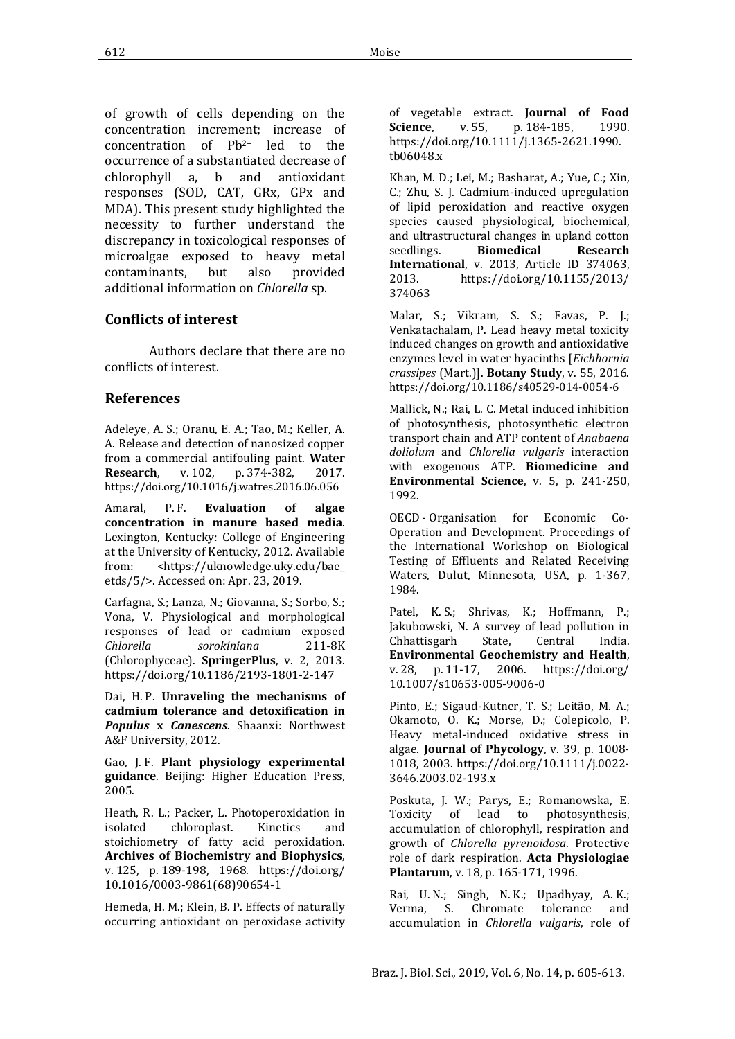of growth of cells depending on the concentration increment; increase of concentration of Pb2+ led to the occurrence of a substantiated decrease of<br>chlorophyll a. b and antioxidant  $chlorophyll$  a, b and responses (SOD, CAT, GRx, GPx and MDA). This present study highlighted the necessity to further understand the discrepancy in toxicological responses of microalgae exposed to heavy metal<br>contaminants, but also provided contaminants, but also provided additional information on *Chlorella* sp.

## **Conflicts of interest**

Authors declare that there are no conflicts of interest.

## **References**

Adeleye, A. S.; Oranu, E. A.; Tao, M.; Keller, A. A. Release and detection of nanosized copper from a commercial antifouling paint. **Water**  p. 374-382, <https://doi.org/10.1016/j.watres.2016.06.056>

Amaral, P.F. **Evaluation of algae concentration in manure based media**. Lexington, Kentucky: College of Engineering at the University of Kentucky, 2012. Available<br>from: <https://uknowledge.uky.edu/bae from: [<https://uknowledge.uky.edu/bae\\_](https://uknowledge.uky.edu/bae_etds/5/)  [etds/5/>](https://uknowledge.uky.edu/bae_etds/5/). Accessed on: Apr. 23, 2019.

Carfagna, S.; Lanza, N.; Giovanna, S.; Sorbo, S.; Vona, V. Physiological and morphological responses of lead or cadmium exposed<br>Chlorella sorokiniana 211-8K  $s$ orokiniana (Chlorophyceae). **SpringerPlus**, v. 2, 2013. https://doi.org[/10.1186/2193-1801-2-147](https://dx.doi.org/10.1186%2F2193-1801-2-147)

Dai, H. P. **Unraveling the mechanisms of cadmium tolerance and detoxification in**  *Populus* **x** *Canescens*. Shaanxi: Northwest A&F University, 2012.

Gao, J. F. **Plant physiology experimental guidance**. Beijing: Higher Education Press, 2005.

Heath, R. L.; Packer, L. Photoperoxidation in chloroplast. stoichiometry of fatty acid peroxidation. **Archives of Biochemistry and Biophysics**, v. 125, p. 189-198, 1968. [https://doi.org/](https://doi.org/10.1016/0003-9861(68)90654-1)  [10.1016/0003-9861\(68\)90654-1](https://doi.org/10.1016/0003-9861(68)90654-1)

Hemeda, H. M.; Klein, B. P. Effects of naturally occurring antioxidant on peroxidase activity of vegetable extract. **Journal of Food** p. 184-185, [https://doi.org/10.1111/j.1365-2621.1990.](https://doi.org/10.1111/j.1365-2621.1990.tb06048.x)  [tb06048.x](https://doi.org/10.1111/j.1365-2621.1990.tb06048.x)

Khan, M. D.; [Lei,](https://www.ncbi.nlm.nih.gov/pubmed/?term=Mei%20L%5BAuthor%5D&cauthor=true&cauthor_uid=24459668) M.; Basharat, A.; Yue, C.; Xin, C.; Zhu, S. J. Cadmium-induced upregulation of lipid peroxidation and reactive oxygen species caused physiological, biochemical, and ultrastructural changes in upland cotton<br>seedlings. **Biomedical Research** seedlings. **Biomedical Research International**, v. 2013, Article ID 374063, 2013. [https://doi.org/10.1155/2013/](https://doi.org/10.1155/2013/374063)  [374063](https://doi.org/10.1155/2013/374063)

Malar, S.; Vikram, S. S.; Favas, P. J.; Venkatachalam, P. Lead heavy metal toxicity induced changes on growth and antioxidative enzymes level in water hyacinths [*Eichhornia crassipes* (Mart.)]. **Botany Study**, v. 55, 2016. https://doi.org[/10.1186/s40529-014-0054-6](https://dx.doi.org/10.1186%2Fs40529-014-0054-6)

Mallick, N.; Rai, L. C. Metal induced inhibition of photosynthesis, photosynthetic electron transport chain and ATP content of *Anabaena doliolum* and *Chlorella vulgaris* interaction with exogenous ATP. **Biomedicine and Environmental Science**, v. 5, p. 241-250, 1992.

OECD - Organisation for Economic Co-Operation and Development. Proceedings of the International Workshop on Biological Testing of Effluents and Related Receiving Waters, Dulut, Minnesota, USA, p. 1-367, 1984.

Patel, K. S.; Shrivas, K.; Hoffmann, P.; Jakubowski, N. A survey of lead pollution in<br>Chhattisgarh State, Central India. Chhattisgarh State, Central India. **Environmental Geochemistry and Health**, v. 28, p. 11-17, 2006. [https://doi.org/](https://doi.org/10.1007/s10653-005-9006-0)  [10.1007/s10653-005-9006-0](https://doi.org/10.1007/s10653-005-9006-0)

Pinto, E.; Sigaud-Kutner, T. S.; Leitão, M. A.; Okamoto, O. K.; Morse, D.; Colepicolo, P. Heavy metal-induced oxidative stress in algae. **Journal of Phycology**, v. 39, p. 1008- 1018, 2003. [https://doi.org/10.1111/j.0022-](https://doi.org/10.1111/j.0022-3646.2003.02-193.x) [3646.2003.02-193.x](https://doi.org/10.1111/j.0022-3646.2003.02-193.x)

Poskuta, J. W.; Parys, E.; Romanowska, E.<br>Toxicity of lead to photosynthesis, photosynthesis, accumulation of chlorophyll, respiration and growth of *Chlorella pyrenoidosa*. Protective role of dark respiration. **Acta Physiologiae Plantarum**, v. 18, p. 165-171, 1996.

Rai, U. N.; Singh, N. K.; Upadhyay, A. K.;<br>Verma, S. Chromate tolerance and Verma, S. Chromate accumulation in *Chlorella vulgaris*, role of